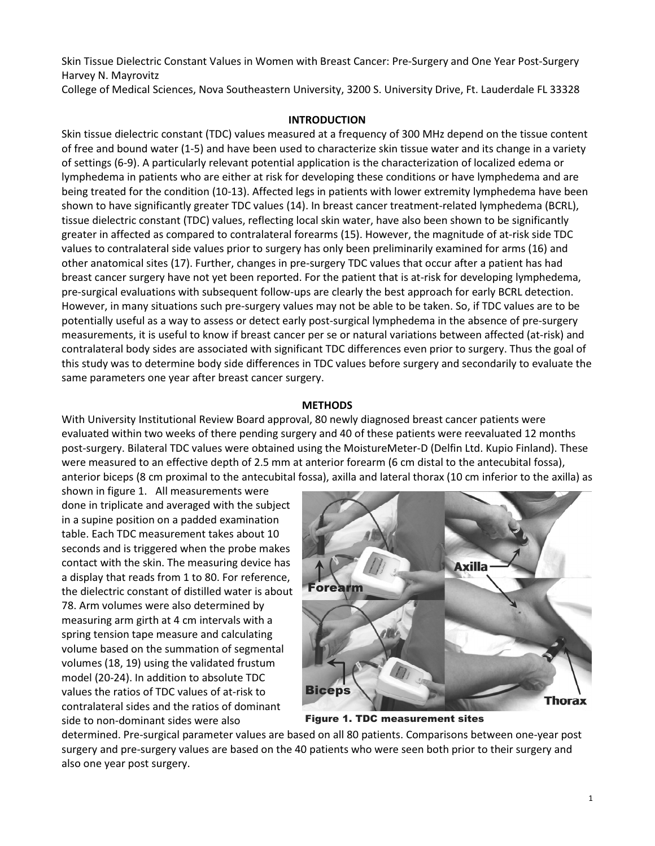Skin Tissue Dielectric Constant Values in Women with Breast Cancer: Pre-Surgery and One Year Post-Surgery Harvey N. Mayrovitz

College of Medical Sciences, Nova Southeastern University, 3200 S. University Drive, Ft. Lauderdale FL 33328

## **INTRODUCTION**

Skin tissue dielectric constant (TDC) values measured at a frequency of 300 MHz depend on the tissue content of free and bound water (1-5) and have been used to characterize skin tissue water and its change in a variety of settings (6-9). A particularly relevant potential application is the characterization of localized edema or lymphedema in patients who are either at risk for developing these conditions or have lymphedema and are being treated for the condition (10-13). Affected legs in patients with lower extremity lymphedema have been shown to have significantly greater TDC values (14). In breast cancer treatment-related lymphedema (BCRL), tissue dielectric constant (TDC) values, reflecting local skin water, have also been shown to be significantly greater in affected as compared to contralateral forearms (15). However, the magnitude of at-risk side TDC values to contralateral side values prior to surgery has only been preliminarily examined for arms (16) and other anatomical sites (17). Further, changes in pre-surgery TDC values that occur after a patient has had breast cancer surgery have not yet been reported. For the patient that is at-risk for developing lymphedema, pre-surgical evaluations with subsequent follow-ups are clearly the best approach for early BCRL detection. However, in many situations such pre-surgery values may not be able to be taken. So, if TDC values are to be potentially useful as a way to assess or detect early post-surgical lymphedema in the absence of pre-surgery measurements, it is useful to know if breast cancer per se or natural variations between affected (at-risk) and contralateral body sides are associated with significant TDC differences even prior to surgery. Thus the goal of this study was to determine body side differences in TDC values before surgery and secondarily to evaluate the same parameters one year after breast cancer surgery.

# **METHODS**

With University Institutional Review Board approval, 80 newly diagnosed breast cancer patients were evaluated within two weeks of there pending surgery and 40 of these patients were reevaluated 12 months post-surgery. Bilateral TDC values were obtained using the MoistureMeter-D (Delfin Ltd. Kupio Finland). These were measured to an effective depth of 2.5 mm at anterior forearm (6 cm distal to the antecubital fossa), anterior biceps (8 cm proximal to the antecubital fossa), axilla and lateral thorax (10 cm inferior to the axilla) as

shown in figure 1. All measurements were done in triplicate and averaged with the subject in a supine position on a padded examination table. Each TDC measurement takes about 10 seconds and is triggered when the probe makes contact with the skin. The measuring device has a display that reads from 1 to 80. For reference, the dielectric constant of distilled water is about 78. Arm volumes were also determined by measuring arm girth at 4 cm intervals with a spring tension tape measure and calculating volume based on the summation of segmental volumes (18, 19) using the validated frustum model (20-24). In addition to absolute TDC values the ratios of TDC values of at-risk to contralateral sides and the ratios of dominant side to non-dominant sides were also



Figure 1. TDC measurement sites

determined. Pre-surgical parameter values are based on all 80 patients. Comparisons between one-year post surgery and pre-surgery values are based on the 40 patients who were seen both prior to their surgery and also one year post surgery.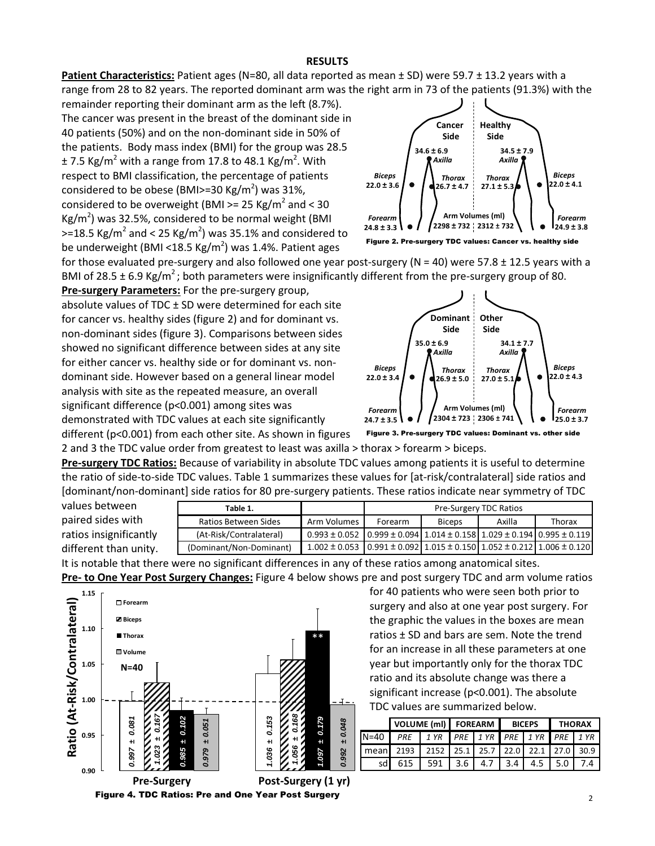### RESULTS

Patient Characteristics: Patient ages (N=80, all data reported as mean ± SD) were 59.7 ± 13.2 years with a range from 28 to 82 years. The reported dominant arm was the right arm in 73 of the patients (91.3%) with the

remainder reporting their dominant arm as the left (8.7%). The cancer was present in the breast of the dominant side in 40 patients (50%) and on the non-dominant side in 50% of the patients. Body mass index (BMI) for the group was 28.5  $\pm$  7.5 Kg/m<sup>2</sup> with a range from 17.8 to 48.1 Kg/m<sup>2</sup>. With respect to BMI classification, the percentage of patients considered to be obese (BMI>=30 Kg/m<sup>2</sup>) was 31%, considered to be overweight (BMI  $>= 25$  Kg/m<sup>2</sup> and  $< 30$  $\text{Kg/m}^2$ ) was 32.5%, considered to be normal weight (BMI  $>=$  18.5 Kg/m<sup>2</sup> and < 25 Kg/m<sup>2</sup>) was 35.1% and considered to be underweight (BMI <18.5 Kg/m<sup>2</sup>) was 1.4%. Patient ages



Figure 2. Pre-surgery TDC values: Cancer vs. healthy side

for those evaluated pre-surgery and also followed one year post-surgery (N = 40) were 57.8  $\pm$  12.5 years with a BMI of 28.5  $\pm$  6.9 Kg/m<sup>2</sup>; both parameters were insignificantly different from the pre-surgery group of 80.

Pre-surgery Parameters: For the pre-surgery group, absolute values of TDC ± SD were determined for each site for cancer vs. healthy sides (figure 2) and for dominant vs. non-dominant sides (figure 3). Comparisons between sides showed no significant difference between sides at any site for either cancer vs. healthy side or for dominant vs. nondominant side. However based on a general linear model analysis with site as the repeated measure, an overall significant difference (p<0.001) among sites was demonstrated with TDC values at each site significantly

Figure 3. Pre-surgery TDC values: Dominant vs. other side

different (p<0.001) from each other site. As shown in figures 2 and 3 the TDC value order from greatest to least was axilla > thorax > forearm > biceps.

Pre-surgery TDC Ratios: Because of variability in absolute TDC values among patients it is useful to determine the ratio of side-to-side TDC values. Table 1 summarizes these values for [at-risk/contralateral] side ratios and [dominant/non-dominant] side ratios for 80 pre-surgery patients. These ratios indicate near symmetry of TDC

| values between         |
|------------------------|
| paired sides with      |
| ratios insignificantly |
| different than unity.  |
|                        |

| Table 1.                |                                                                                                   | <b>Pre-Surgery TDC Ratios</b> |               |        |        |
|-------------------------|---------------------------------------------------------------------------------------------------|-------------------------------|---------------|--------|--------|
| Ratios Between Sides    | Arm Volumes                                                                                       | Forearm                       | <b>Biceps</b> | Axilla | Thorax |
| (At-Risk/Contralateral) | $0.993 \pm 0.052$   $0.999 \pm 0.094$   $1.014 \pm 0.158$   $1.029 \pm 0.194$   $0.995 \pm 0.119$ |                               |               |        |        |
| (Dominant/Non-Dominant) | $1.002 \pm 0.053$   0.991 $\pm$ 0.092   1.015 $\pm$ 0.150   1.052 $\pm$ 0.212   1.006 $\pm$ 0.120 |                               |               |        |        |

Forearm

It is notable that there were no significant differences in any of these ratios among anatomical sites. Pre- to One Year Post Surgery Changes: Figure 4 below shows pre and post surgery TDC and arm volume ratios



Figure 4. TDC Ratios: Pre and One Year Post Surgery

24.7 ± 3.5 **\ ● /** 2304 ± 723 2306 ± 741 **\ \ ●** 1<sub>25.0</sub> ± 3.7

 $22.0 \pm 3.4$   $\bullet$   $\left( \frac{1}{26.9 \pm 5.0} \div 27.0 \pm 5.1$   $\bullet$   $\left( \frac{22.0 \pm 4.3}{27.0 \pm 5.1} \right)$ 

Arm Volumes (ml)

 $27.0 \pm 5.1$ 

Axilla

Thorax  $\bigwedge$  Biceps

Forearm

**Other** Side

35.0 **±** 6.9 34.1 **±** 7.7

Dominant Side

Axilla

Biceps  $\vert \vert$  Thorax

for 40 patients who were seen both prior to surgery and also at one year post surgery. For the graphic the values in the boxes are mean ratios ± SD and bars are sem. Note the trend for an increase in all these parameters at one year but importantly only for the thorax TDC ratio and its absolute change was there a significant increase (p<0.001). The absolute

TDC values are summarized below.

N=40 PRE 1 YR PRE 1 YR PRE 1 YR PRE 1 YR mean 2193 2152 25.1 25.7 22.0 22.1 27.0 30.9 sd 615 591 3.6 4.7 3.4 4.5 5.0 7.4

VOLUME (ml) FOREARM BICEPS THORAX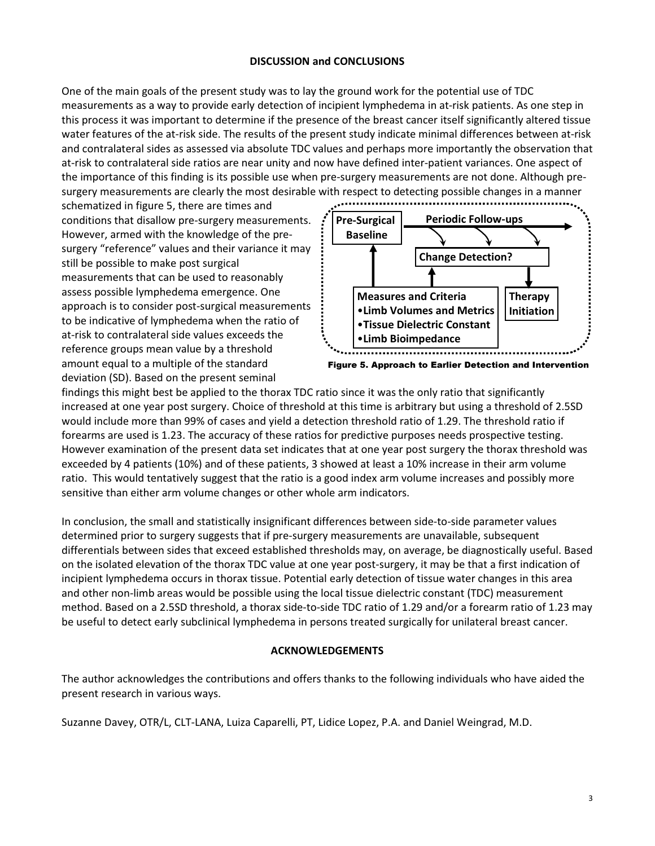## DISCUSSION and CONCLUSIONS

One of the main goals of the present study was to lay the ground work for the potential use of TDC measurements as a way to provide early detection of incipient lymphedema in at-risk patients. As one step in this process it was important to determine if the presence of the breast cancer itself significantly altered tissue water features of the at-risk side. The results of the present study indicate minimal differences between at-risk and contralateral sides as assessed via absolute TDC values and perhaps more importantly the observation that at-risk to contralateral side ratios are near unity and now have defined inter-patient variances. One aspect of the importance of this finding is its possible use when pre-surgery measurements are not done. Although presurgery measurements are clearly the most desirable with respect to detecting possible changes in a manner

schematized in figure 5, there are times and conditions that disallow pre-surgery measurements. However, armed with the knowledge of the presurgery "reference" values and their variance it may still be possible to make post surgical measurements that can be used to reasonably assess possible lymphedema emergence. One approach is to consider post-surgical measurements to be indicative of lymphedema when the ratio of at-risk to contralateral side values exceeds the reference groups mean value by a threshold amount equal to a multiple of the standard deviation (SD). Based on the present seminal



Figure 5. Approach to Earlier Detection and Intervention

findings this might best be applied to the thorax TDC ratio since it was the only ratio that significantly increased at one year post surgery. Choice of threshold at this time is arbitrary but using a threshold of 2.5SD would include more than 99% of cases and yield a detection threshold ratio of 1.29. The threshold ratio if forearms are used is 1.23. The accuracy of these ratios for predictive purposes needs prospective testing. However examination of the present data set indicates that at one year post surgery the thorax threshold was exceeded by 4 patients (10%) and of these patients, 3 showed at least a 10% increase in their arm volume ratio. This would tentatively suggest that the ratio is a good index arm volume increases and possibly more sensitive than either arm volume changes or other whole arm indicators.

In conclusion, the small and statistically insignificant differences between side-to-side parameter values determined prior to surgery suggests that if pre-surgery measurements are unavailable, subsequent differentials between sides that exceed established thresholds may, on average, be diagnostically useful. Based on the isolated elevation of the thorax TDC value at one year post-surgery, it may be that a first indication of incipient lymphedema occurs in thorax tissue. Potential early detection of tissue water changes in this area and other non-limb areas would be possible using the local tissue dielectric constant (TDC) measurement method. Based on a 2.5SD threshold, a thorax side-to-side TDC ratio of 1.29 and/or a forearm ratio of 1.23 may be useful to detect early subclinical lymphedema in persons treated surgically for unilateral breast cancer.

### ACKNOWLEDGEMENTS

The author acknowledges the contributions and offers thanks to the following individuals who have aided the present research in various ways.

Suzanne Davey, OTR/L, CLT-LANA, Luiza Caparelli, PT, Lidice Lopez, P.A. and Daniel Weingrad, M.D.